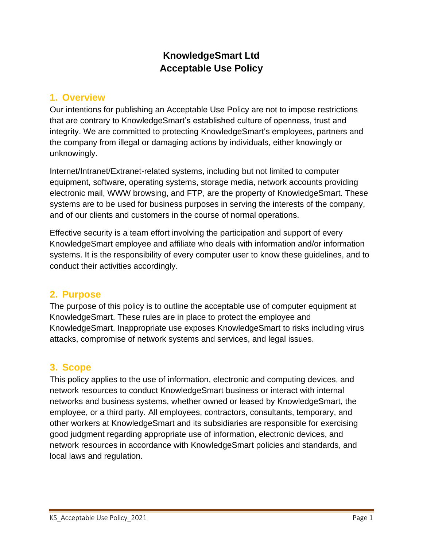# **KnowledgeSmart Ltd Acceptable Use Policy**

## **1. Overview**

Our intentions for publishing an Acceptable Use Policy are not to impose restrictions that are contrary to KnowledgeSmart's established culture of openness, trust and integrity. We are committed to protecting KnowledgeSmart's employees, partners and the company from illegal or damaging actions by individuals, either knowingly or unknowingly.

Internet/Intranet/Extranet-related systems, including but not limited to computer equipment, software, operating systems, storage media, network accounts providing electronic mail, WWW browsing, and FTP, are the property of KnowledgeSmart. These systems are to be used for business purposes in serving the interests of the company, and of our clients and customers in the course of normal operations.

Effective security is a team effort involving the participation and support of every KnowledgeSmart employee and affiliate who deals with information and/or information systems. It is the responsibility of every computer user to know these guidelines, and to conduct their activities accordingly.

# **2. Purpose**

The purpose of this policy is to outline the acceptable use of computer equipment at KnowledgeSmart. These rules are in place to protect the employee and KnowledgeSmart. Inappropriate use exposes KnowledgeSmart to risks including virus attacks, compromise of network systems and services, and legal issues.

# **3. Scope**

This policy applies to the use of information, electronic and computing devices, and network resources to conduct KnowledgeSmart business or interact with internal networks and business systems, whether owned or leased by KnowledgeSmart, the employee, or a third party. All employees, contractors, consultants, temporary, and other workers at KnowledgeSmart and its subsidiaries are responsible for exercising good judgment regarding appropriate use of information, electronic devices, and network resources in accordance with KnowledgeSmart policies and standards, and local laws and regulation.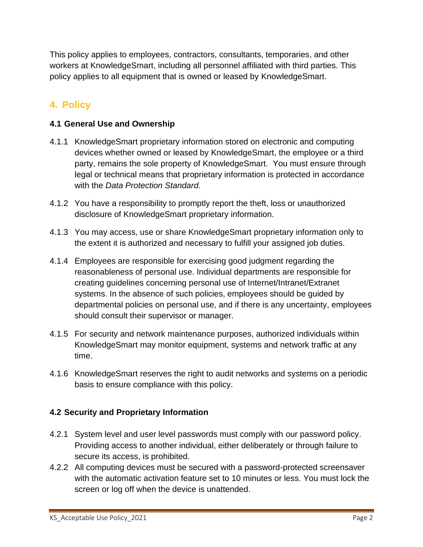This policy applies to employees, contractors, consultants, temporaries, and other workers at KnowledgeSmart, including all personnel affiliated with third parties. This policy applies to all equipment that is owned or leased by KnowledgeSmart.

# **4. Policy**

## **4.1 General Use and Ownership**

- 4.1.1 KnowledgeSmart proprietary information stored on electronic and computing devices whether owned or leased by KnowledgeSmart, the employee or a third party, remains the sole property of KnowledgeSmart. You must ensure through legal or technical means that proprietary information is protected in accordance with the *Data Protection Standard.*
- 4.1.2 You have a responsibility to promptly report the theft, loss or unauthorized disclosure of KnowledgeSmart proprietary information.
- 4.1.3 You may access, use or share KnowledgeSmart proprietary information only to the extent it is authorized and necessary to fulfill your assigned job duties.
- 4.1.4 Employees are responsible for exercising good judgment regarding the reasonableness of personal use. Individual departments are responsible for creating guidelines concerning personal use of Internet/Intranet/Extranet systems. In the absence of such policies, employees should be guided by departmental policies on personal use, and if there is any uncertainty, employees should consult their supervisor or manager.
- 4.1.5 For security and network maintenance purposes, authorized individuals within KnowledgeSmart may monitor equipment, systems and network traffic at any time.
- 4.1.6 KnowledgeSmart reserves the right to audit networks and systems on a periodic basis to ensure compliance with this policy.

## **4.2 Security and Proprietary Information**

- 4.2.1 System level and user level passwords must comply with our password policy. Providing access to another individual, either deliberately or through failure to secure its access, is prohibited.
- 4.2.2 All computing devices must be secured with a password-protected screensaver with the automatic activation feature set to 10 minutes or less. You must lock the screen or log off when the device is unattended.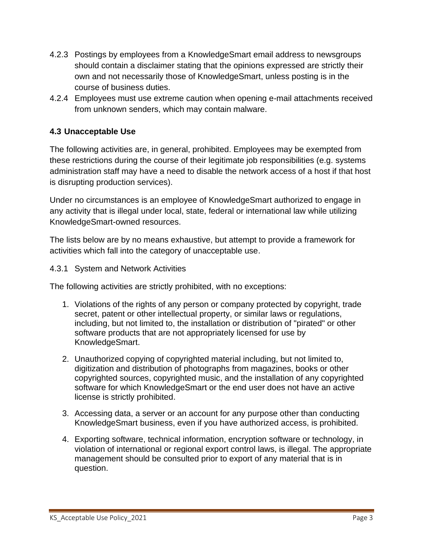- 4.2.3 Postings by employees from a KnowledgeSmart email address to newsgroups should contain a disclaimer stating that the opinions expressed are strictly their own and not necessarily those of KnowledgeSmart, unless posting is in the course of business duties.
- 4.2.4 Employees must use extreme caution when opening e-mail attachments received from unknown senders, which may contain malware.

## **4.3 Unacceptable Use**

The following activities are, in general, prohibited. Employees may be exempted from these restrictions during the course of their legitimate job responsibilities (e.g. systems administration staff may have a need to disable the network access of a host if that host is disrupting production services).

Under no circumstances is an employee of KnowledgeSmart authorized to engage in any activity that is illegal under local, state, federal or international law while utilizing KnowledgeSmart-owned resources.

The lists below are by no means exhaustive, but attempt to provide a framework for activities which fall into the category of unacceptable use.

#### 4.3.1 System and Network Activities

The following activities are strictly prohibited, with no exceptions:

- 1. Violations of the rights of any person or company protected by copyright, trade secret, patent or other intellectual property, or similar laws or regulations, including, but not limited to, the installation or distribution of "pirated" or other software products that are not appropriately licensed for use by KnowledgeSmart.
- 2. Unauthorized copying of copyrighted material including, but not limited to, digitization and distribution of photographs from magazines, books or other copyrighted sources, copyrighted music, and the installation of any copyrighted software for which KnowledgeSmart or the end user does not have an active license is strictly prohibited.
- 3. Accessing data, a server or an account for any purpose other than conducting KnowledgeSmart business, even if you have authorized access, is prohibited.
- 4. Exporting software, technical information, encryption software or technology, in violation of international or regional export control laws, is illegal. The appropriate management should be consulted prior to export of any material that is in question.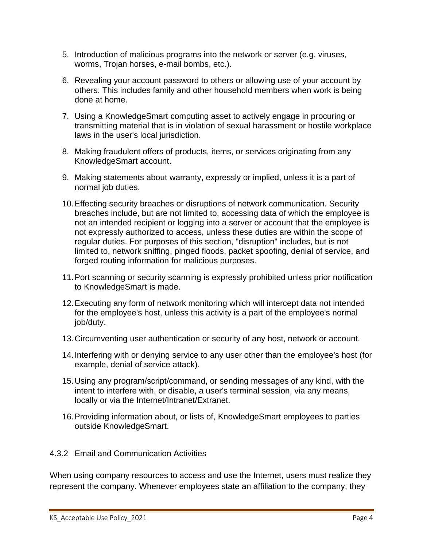- 5. Introduction of malicious programs into the network or server (e.g. viruses, worms, Trojan horses, e-mail bombs, etc.).
- 6. Revealing your account password to others or allowing use of your account by others. This includes family and other household members when work is being done at home.
- 7. Using a KnowledgeSmart computing asset to actively engage in procuring or transmitting material that is in violation of sexual harassment or hostile workplace laws in the user's local jurisdiction.
- 8. Making fraudulent offers of products, items, or services originating from any KnowledgeSmart account.
- 9. Making statements about warranty, expressly or implied, unless it is a part of normal job duties.
- 10.Effecting security breaches or disruptions of network communication. Security breaches include, but are not limited to, accessing data of which the employee is not an intended recipient or logging into a server or account that the employee is not expressly authorized to access, unless these duties are within the scope of regular duties. For purposes of this section, "disruption" includes, but is not limited to, network sniffing, pinged floods, packet spoofing, denial of service, and forged routing information for malicious purposes.
- 11.Port scanning or security scanning is expressly prohibited unless prior notification to KnowledgeSmart is made.
- 12.Executing any form of network monitoring which will intercept data not intended for the employee's host, unless this activity is a part of the employee's normal job/duty.
- 13.Circumventing user authentication or security of any host, network or account.
- 14.Interfering with or denying service to any user other than the employee's host (for example, denial of service attack).
- 15.Using any program/script/command, or sending messages of any kind, with the intent to interfere with, or disable, a user's terminal session, via any means, locally or via the Internet/Intranet/Extranet.
- 16.Providing information about, or lists of, KnowledgeSmart employees to parties outside KnowledgeSmart.

## 4.3.2 Email and Communication Activities

When using company resources to access and use the Internet, users must realize they represent the company. Whenever employees state an affiliation to the company, they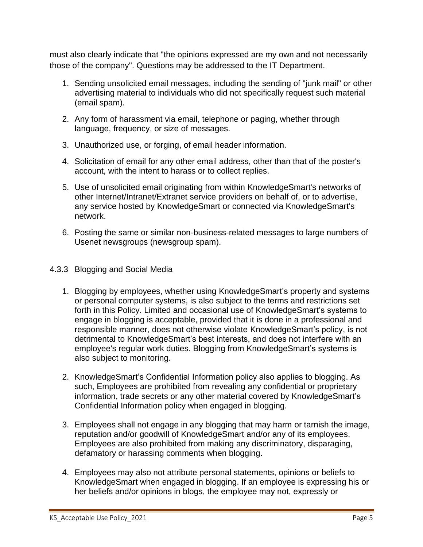must also clearly indicate that "the opinions expressed are my own and not necessarily those of the company". Questions may be addressed to the IT Department.

- 1. Sending unsolicited email messages, including the sending of "junk mail" or other advertising material to individuals who did not specifically request such material (email spam).
- 2. Any form of harassment via email, telephone or paging, whether through language, frequency, or size of messages.
- 3. Unauthorized use, or forging, of email header information.
- 4. Solicitation of email for any other email address, other than that of the poster's account, with the intent to harass or to collect replies.
- 5. Use of unsolicited email originating from within KnowledgeSmart's networks of other Internet/Intranet/Extranet service providers on behalf of, or to advertise, any service hosted by KnowledgeSmart or connected via KnowledgeSmart's network.
- 6. Posting the same or similar non-business-related messages to large numbers of Usenet newsgroups (newsgroup spam).

### 4.3.3 Blogging and Social Media

- 1. Blogging by employees, whether using KnowledgeSmart's property and systems or personal computer systems, is also subject to the terms and restrictions set forth in this Policy. Limited and occasional use of KnowledgeSmart's systems to engage in blogging is acceptable, provided that it is done in a professional and responsible manner, does not otherwise violate KnowledgeSmart's policy, is not detrimental to KnowledgeSmart's best interests, and does not interfere with an employee's regular work duties. Blogging from KnowledgeSmart's systems is also subject to monitoring.
- 2. KnowledgeSmart's Confidential Information policy also applies to blogging. As such, Employees are prohibited from revealing any confidential or proprietary information, trade secrets or any other material covered by KnowledgeSmart's Confidential Information policy when engaged in blogging.
- 3. Employees shall not engage in any blogging that may harm or tarnish the image, reputation and/or goodwill of KnowledgeSmart and/or any of its employees. Employees are also prohibited from making any discriminatory, disparaging, defamatory or harassing comments when blogging.
- 4. Employees may also not attribute personal statements, opinions or beliefs to KnowledgeSmart when engaged in blogging. If an employee is expressing his or her beliefs and/or opinions in blogs, the employee may not, expressly or